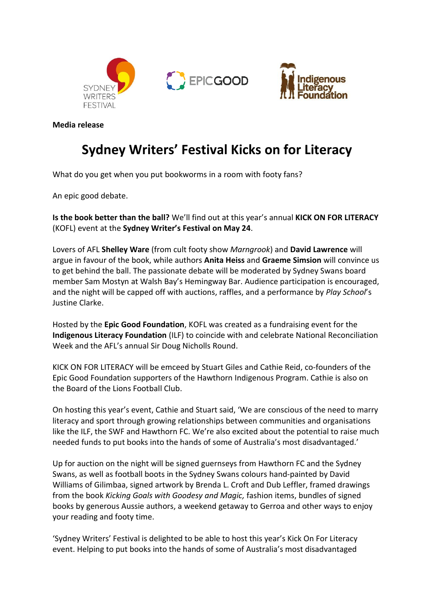



**Media release**

## **Sydney Writers' Festival Kicks on for Literacy**

What do you get when you put bookworms in a room with footy fans?

An epic good debate.

**Is the book better than the ball?** We'll find out at this year's annual **KICK ON FOR LITERACY** (KOFL) event at the **Sydney Writer's Festival on May 24**.

Lovers of AFL **Shelley Ware** (from cult footy show *Marngrook*) and **David Lawrence** will argue in favour of the book, while authors **Anita Heiss** and **Graeme Simsion** will convince us to get behind the ball. The passionate debate will be moderated by Sydney Swans board member Sam Mostyn at Walsh Bay's Hemingway Bar. Audience participation is encouraged, and the night will be capped off with auctions, raffles, and a performance by *Play School*'s Justine Clarke.

Hosted by the **Epic Good Foundation**, KOFL was created as a fundraising event for the **Indigenous Literacy Foundation** (ILF) to coincide with and celebrate National Reconciliation Week and the AFL's annual Sir Doug Nicholls Round.

KICK ON FOR LITERACY will be emceed by Stuart Giles and Cathie Reid, co-founders of the Epic Good Foundation supporters of the Hawthorn Indigenous Program. Cathie is also on the Board of the Lions Football Club.

On hosting this year's event, Cathie and Stuart said, 'We are conscious of the need to marry literacy and sport through growing relationships between communities and organisations like the ILF, the SWF and Hawthorn FC. We're also excited about the potential to raise much needed funds to put books into the hands of some of Australia's most disadvantaged.'

Up for auction on the night will be signed guernseys from Hawthorn FC and the Sydney Swans, as well as football boots in the Sydney Swans colours hand-painted by David Williams of Gilimbaa, signed artwork by Brenda L. Croft and Dub Leffler, framed drawings from the book *Kicking Goals with Goodesy and Magic,* fashion items, bundles of signed books by generous Aussie authors, a weekend getaway to Gerroa and other ways to enjoy your reading and footy time.

'Sydney Writers' Festival is delighted to be able to host this year's Kick On For Literacy event. Helping to put books into the hands of some of Australia's most disadvantaged